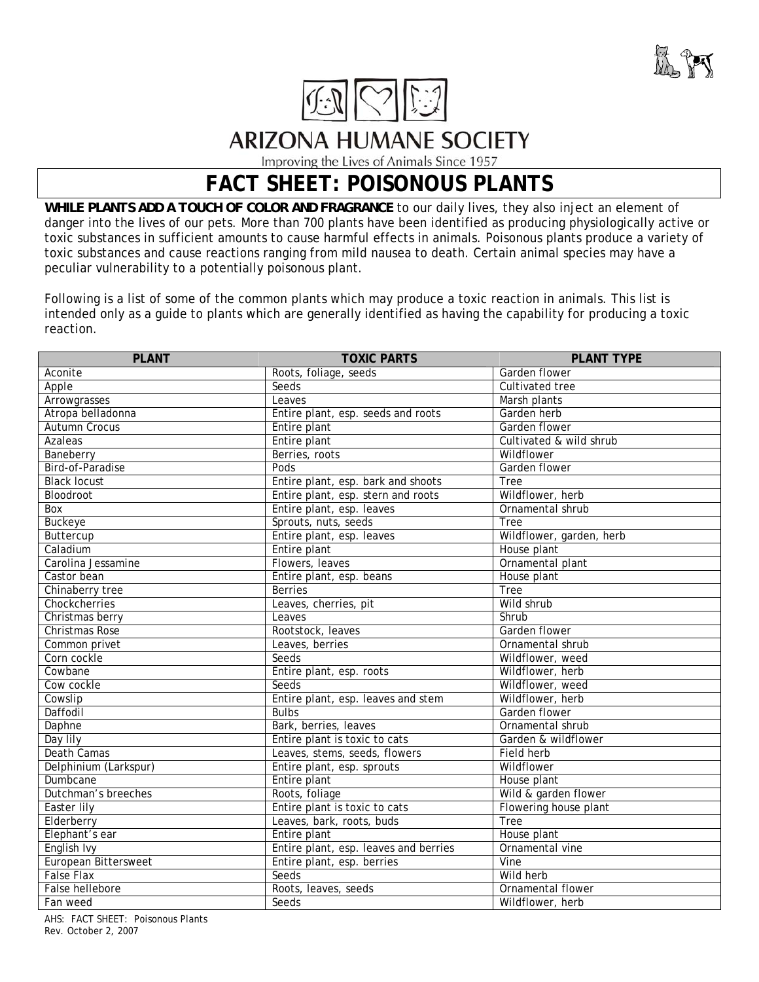



**ARIZONA HUMANE SOCIETY** 

Improving the Lives of Animals Since 1957

## **FACT SHEET: POISONOUS PLANTS**

*WHILE PLANTS ADD A TOUCH OF COLOR AND FRAGRANCE* to our daily lives, they also inject an element of danger into the lives of our pets. More than 700 plants have been identified as producing physiologically active or toxic substances in sufficient amounts to cause harmful effects in animals. Poisonous plants produce a variety of toxic substances and cause reactions ranging from mild nausea to death. Certain animal species may have a peculiar vulnerability to a potentially poisonous plant.

Following is a list of some of the common plants which may produce a toxic reaction in animals. This list is intended only as a guide to plants which are generally identified as having the capability for producing a toxic reaction.

| <b>PLANT</b>                | <b>TOXIC PARTS</b>                    | <b>PLANT TYPE</b>        |
|-----------------------------|---------------------------------------|--------------------------|
| Aconite                     | Roots, foliage, seeds                 | Garden flower            |
| Apple                       | Seeds                                 | Cultivated tree          |
| Arrowgrasses                | Leaves                                | Marsh plants             |
| Atropa belladonna           | Entire plant, esp. seeds and roots    | Garden herb              |
| <b>Autumn Crocus</b>        | Entire plant                          | Garden flower            |
| Azaleas                     | Entire plant                          | Cultivated & wild shrub  |
| Baneberry                   | Berries, roots                        | Wildflower               |
| Bird-of-Paradise            | Pods                                  | Garden flower            |
| <b>Black locust</b>         | Entire plant, esp. bark and shoots    | <b>Tree</b>              |
| Bloodroot                   | Entire plant, esp. stern and roots    | Wildflower, herb         |
| Box                         | Entire plant, esp. leaves             | Ornamental shrub         |
| <b>Buckeye</b>              | Sprouts, nuts, seeds                  | <b>Tree</b>              |
| Buttercup                   | Entire plant, esp. leaves             | Wildflower, garden, herb |
| Caladium                    | Entire plant                          | House plant              |
| Carolina Jessamine          | Flowers, leaves                       | Ornamental plant         |
| Castor bean                 | Entire plant, esp. beans              | House plant              |
| Chinaberry tree             | <b>Berries</b>                        | Tree                     |
| Chockcherries               | Leaves, cherries, pit                 | Wild shrub               |
| Christmas berry             | Leaves                                | Shrub                    |
| <b>Christmas Rose</b>       | Rootstock, leaves                     | Garden flower            |
| Common privet               | Leaves, berries                       | Ornamental shrub         |
| Corn cockle                 | Seeds                                 | Wildflower, weed         |
| Cowbane                     | Entire plant, esp. roots              | Wildflower, herb         |
| Cow cockle                  | Seeds                                 | Wildflower, weed         |
| Cowslip                     | Entire plant, esp. leaves and stem    | Wildflower, herb         |
| Daffodil                    | <b>Bulbs</b>                          | Garden flower            |
| Daphne                      | Bark, berries, leaves                 | Ornamental shrub         |
| Day lily                    | Entire plant is toxic to cats         | Garden & wildflower      |
| <b>Death Camas</b>          | Leaves, stems, seeds, flowers         | Field herb               |
| Delphinium (Larkspur)       | Entire plant, esp. sprouts            | Wildflower               |
| Dumbcane                    | Entire plant                          | House plant              |
| Dutchman's breeches         | Roots, foliage                        | Wild & garden flower     |
| <b>Easter lily</b>          | Entire plant is toxic to cats         | Flowering house plant    |
| Elderberry                  | Leaves, bark, roots, buds             | Tree                     |
| Elephant's ear              | Entire plant                          | House plant              |
| English Ivy                 | Entire plant, esp. leaves and berries | Ornamental vine          |
| <b>European Bittersweet</b> | Entire plant, esp. berries            | Vine                     |
| <b>False Flax</b>           | Seeds                                 | Wild herb                |
| False hellebore             | Roots, leaves, seeds                  | Ornamental flower        |
| Fan weed                    | Seeds                                 | Wildflower, herb         |

AHS: FACT SHEET: Poisonous Plants Rev. October 2, 2007